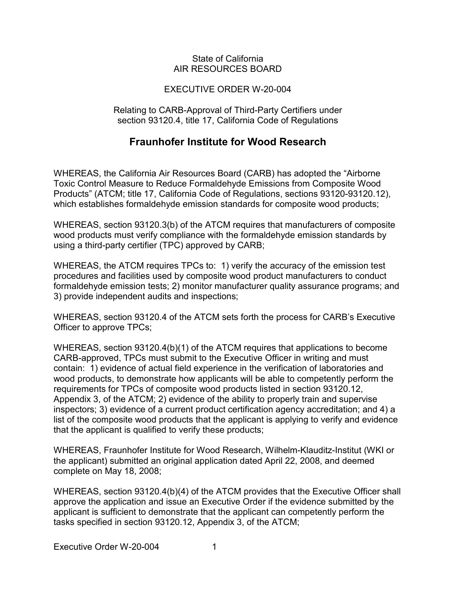## State of California AIR RESOURCES BOARD

## EXECUTIVE ORDER W-20-004

Relating to CARB-Approval of Third-Party Certifiers under section 93120.4, title 17, California Code of Regulations

## **Fraunhofer Institute for Wood Research**

 which establishes formaldehyde emission standards for composite wood products; WHEREAS, the California Air Resources Board (CARB) has adopted the "Airborne Toxic Control Measure to Reduce Formaldehyde Emissions from Composite Wood Products" (ATCM; title 17, California Code of Regulations, sections [93120-93120.12\)](https://93120-93120.12),

 using a third-party certifier (TPC) approved by CARB; WHEREAS, section 93120.3(b) of the ATCM requires that manufacturers of composite wood products must verify compliance with the formaldehyde emission standards by

 WHEREAS, the ATCM requires TPCs to: 1) verify the accuracy of the emission test formaldehyde emission tests; 2) monitor manufacturer quality assurance programs; and procedures and facilities used by composite wood product manufacturers to conduct 3) provide independent audits and inspections;

 WHEREAS, section 93120.4 of the ATCM sets forth the process for CARB's Executive Officer to approve TPCs;

 contain: 1) evidence of actual field experience in the verification of laboratories and that the applicant is qualified to verify these products; WHEREAS, section 93120.4(b)(1) of the ATCM requires that applications to become CARB-approved, TPCs must submit to the Executive Officer in writing and must wood products, to demonstrate how applicants will be able to competently perform the requirements for TPCs of composite wood products listed in section [93120.12](https://93120.12), Appendix 3, of the ATCM; 2) evidence of the ability to properly train and supervise inspectors; 3) evidence of a current product certification agency accreditation; and 4) a list of the composite wood products that the applicant is applying to verify and evidence

 the applicant) submitted an original application dated April 22, 2008, and deemed complete on May 18, 2008; WHEREAS, Fraunhofer Institute for Wood Research, Wilhelm-Klauditz-Institut (WKI or

 tasks specified in section [93120.12](https://93120.12), Appendix 3, of the ATCM; WHEREAS, section 93120.4(b)(4) of the ATCM provides that the Executive Officer shall approve the application and issue an Executive Order if the evidence submitted by the applicant is sufficient to demonstrate that the applicant can competently perform the

Executive Order W-20-004 1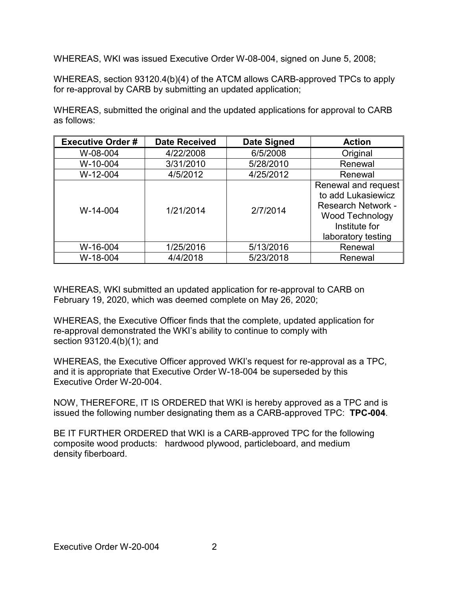WHEREAS, WKI was issued Executive Order W-08-004, signed on June 5, 2008;

WHEREAS, section 93120.4(b)(4) of the ATCM allows CARB-approved TPCs to apply for re-approval by CARB by submitting an updated application;

 WHEREAS, submitted the original and the updated applications for approval to CARB as follows:

| <b>Executive Order#</b> | <b>Date Received</b> | <b>Date Signed</b> | <b>Action</b>                                                                                                                           |
|-------------------------|----------------------|--------------------|-----------------------------------------------------------------------------------------------------------------------------------------|
| W-08-004                | 4/22/2008            | 6/5/2008           | Original                                                                                                                                |
| W-10-004                | 3/31/2010            | 5/28/2010          | Renewal                                                                                                                                 |
| W-12-004                | 4/5/2012             | 4/25/2012          | Renewal                                                                                                                                 |
| W-14-004                | 1/21/2014            | 2/7/2014           | Renewal and request<br>to add Lukasiewicz<br><b>Research Network -</b><br><b>Wood Technology</b><br>Institute for<br>laboratory testing |
| W-16-004                | 1/25/2016            | 5/13/2016          | Renewal                                                                                                                                 |
| W-18-004                | 4/4/2018             | 5/23/2018          | Renewal                                                                                                                                 |

 February 19, 2020, which was deemed complete on May 26, 2020; WHEREAS, WKI submitted an updated application for re-approval to CARB on

 WHEREAS, the Executive Officer finds that the complete, updated application for section 93120.4(b)(1); and re-approval demonstrated the WKI's ability to continue to comply with

 WHEREAS, the Executive Officer approved WKI's request for re-approval as a TPC, and it is appropriate that Executive Order W-18-004 be superseded by this Executive Order W-20-004.

 NOW, THEREFORE, IT IS ORDERED that WKI is hereby approved as a TPC and is issued the following number designating them as a CARB-approved TPC: **TPC-004**.

 BE IT FURTHER ORDERED that WKI is a CARB-approved TPC for the following composite wood products: hardwood plywood, particleboard, and medium density fiberboard.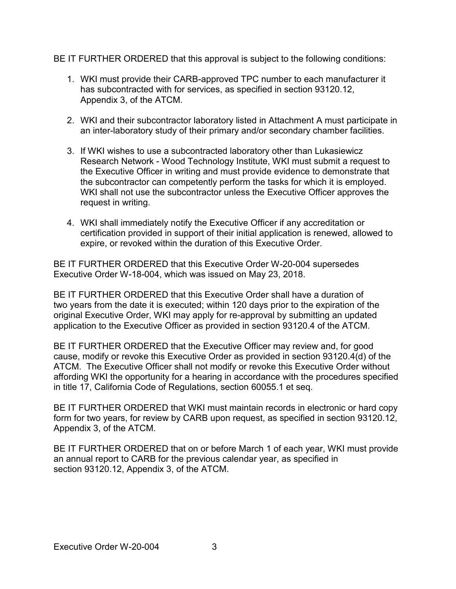BE IT FURTHER ORDERED that this approval is subject to the following conditions:

- 1. WKI must provide their CARB-approved TPC number to each manufacturer it Appendix 3, of the ATCM. has subcontracted with for services, as specified in section [93120.12,](https://93120.12)
- 2. WKI and their subcontractor laboratory listed in Attachment A must participate in an inter-laboratory study of their primary and/or secondary chamber facilities.
- 3. If WKI wishes to use a subcontracted laboratory other than Lukasiewicz Research Network - Wood Technology Institute, WKI must submit a request to the subcontractor can competently perform the tasks for which it is employed. request in writing. the Executive Officer in writing and must provide evidence to demonstrate that WKI shall not use the subcontractor unless the Executive Officer approves the
- 4. WKI shall immediately notify the Executive Officer if any accreditation or expire, or revoked within the duration of this Executive Order. certification provided in support of their initial application is renewed, allowed to

 BE IT FURTHER ORDERED that this Executive Order W-20-004 supersedes Executive Order W-18-004, which was issued on May 23, 2018.

 application to the Executive Officer as provided in section 93120.4 of the ATCM. BE IT FURTHER ORDERED that this Executive Order shall have a duration of two years from the date it is executed; within 120 days prior to the expiration of the original Executive Order, WKI may apply for re-approval by submitting an updated

 BE IT FURTHER ORDERED that the Executive Officer may review and, for good ATCM. The Executive Officer shall not modify or revoke this Executive Order without in title 17, California Code of Regulations, section 60055.1 et seq. cause, modify or revoke this Executive Order as provided in section 93120.4(d) of the affording WKI the opportunity for a hearing in accordance with the procedures specified

 Appendix 3, of the ATCM. BE IT FURTHER ORDERED that WKI must maintain records in electronic or hard copy form for two years, for review by CARB upon request, as specified in section [93120.12](https://93120.12),

 BE IT FURTHER ORDERED that on or before March 1 of each year, WKI must provide an annual report to CARB for the previous calendar year, as specified in section [93120.12,](https://93120.12) Appendix 3, of the ATCM.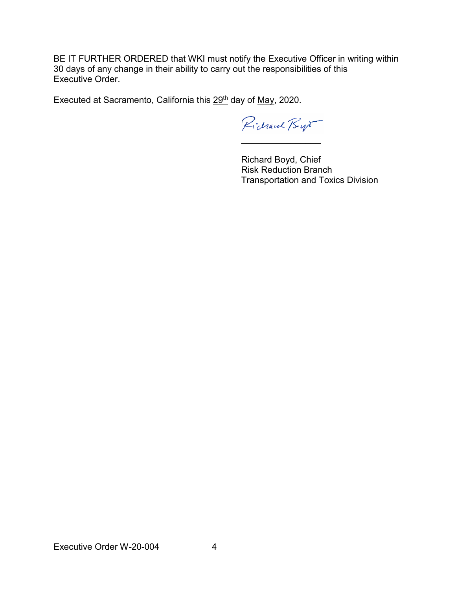BE IT FURTHER ORDERED that WKI must notify the Executive Officer in writing within 30 days of any change in their ability to carry out the responsibilities of this Executive Order.

Executed at Sacramento, California this 29<sup>th</sup> day of May, 2020.

Pichard Bys \_\_\_\_\_\_\_\_\_\_\_\_\_\_\_\_

Richard Boyd, Chief Risk Reduction Branch Transportation and Toxics Division